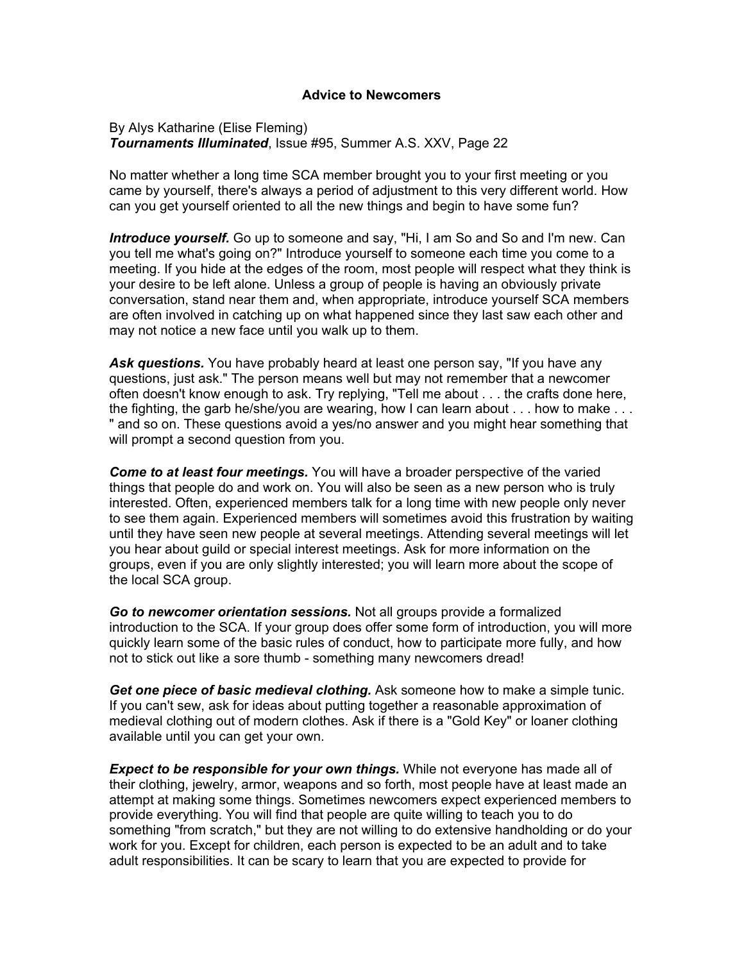## **Advice to Newcomers**

By Alys Katharine (Elise Fleming) *Tournaments Illuminated*, Issue #95, Summer A.S. XXV, Page 22

No matter whether a long time SCA member brought you to your first meeting or you came by yourself, there's always a period of adjustment to this very different world. How can you get yourself oriented to all the new things and begin to have some fun?

*Introduce yourself.* Go up to someone and say, "Hi, I am So and So and I'm new. Can you tell me what's going on?" Introduce yourself to someone each time you come to a meeting. If you hide at the edges of the room, most people will respect what they think is your desire to be left alone. Unless a group of people is having an obviously private conversation, stand near them and, when appropriate, introduce yourself SCA members are often involved in catching up on what happened since they last saw each other and may not notice a new face until you walk up to them.

*Ask questions.* You have probably heard at least one person say, "If you have any questions, just ask." The person means well but may not remember that a newcomer often doesn't know enough to ask. Try replying, "Tell me about . . . the crafts done here, the fighting, the garb he/she/you are wearing, how I can learn about . . . how to make . . . " and so on. These questions avoid a yes/no answer and you might hear something that will prompt a second question from you.

*Come to at least four meetings.* You will have a broader perspective of the varied things that people do and work on. You will also be seen as a new person who is truly interested. Often, experienced members talk for a long time with new people only never to see them again. Experienced members will sometimes avoid this frustration by waiting until they have seen new people at several meetings. Attending several meetings will let you hear about guild or special interest meetings. Ask for more information on the groups, even if you are only slightly interested; you will learn more about the scope of the local SCA group.

*Go to newcomer orientation sessions.* Not all groups provide a formalized introduction to the SCA. If your group does offer some form of introduction, you will more quickly learn some of the basic rules of conduct, how to participate more fully, and how not to stick out like a sore thumb - something many newcomers dread!

*Get one piece of basic medieval clothing.* Ask someone how to make a simple tunic. If you can't sew, ask for ideas about putting together a reasonable approximation of medieval clothing out of modern clothes. Ask if there is a "Gold Key" or loaner clothing available until you can get your own.

*Expect to be responsible for your own things.* While not everyone has made all of their clothing, jewelry, armor, weapons and so forth, most people have at least made an attempt at making some things. Sometimes newcomers expect experienced members to provide everything. You will find that people are quite willing to teach you to do something "from scratch," but they are not willing to do extensive handholding or do your work for you. Except for children, each person is expected to be an adult and to take adult responsibilities. It can be scary to learn that you are expected to provide for